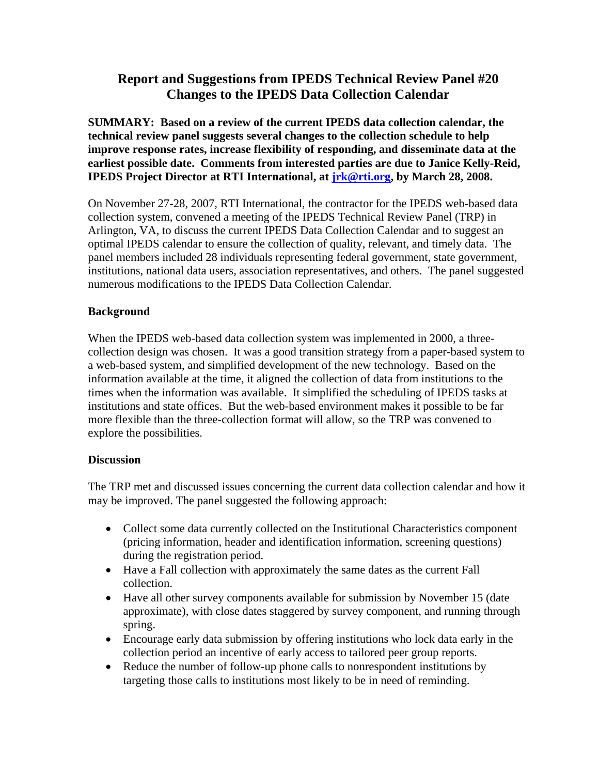# **Report and Suggestions from IPEDS Technical Review Panel #20 Changes to the IPEDS Data Collection Calendar**

**SUMMARY: Based on a review of the current IPEDS data collection calendar, the technical review panel suggests several changes to the collection schedule to help improve response rates, increase flexibility of responding, and disseminate data at the earliest possible date. Comments from interested parties are due to Janice Kelly-Reid, IPEDS Project Director at RTI International, at jrk@rti.org, by March 28, 2008.** 

On November 27-28, 2007, RTI International, the contractor for the IPEDS web-based data collection system, convened a meeting of the IPEDS Technical Review Panel (TRP) in Arlington, VA, to discuss the current IPEDS Data Collection Calendar and to suggest an optimal IPEDS calendar to ensure the collection of quality, relevant, and timely data. The panel members included 28 individuals representing federal government, state government, institutions, national data users, association representatives, and others. The panel suggested numerous modifications to the IPEDS Data Collection Calendar.

### **Background**

When the IPEDS web-based data collection system was implemented in 2000, a threecollection design was chosen. It was a good transition strategy from a paper-based system to a web-based system, and simplified development of the new technology. Based on the information available at the time, it aligned the collection of data from institutions to the times when the information was available. It simplified the scheduling of IPEDS tasks at institutions and state offices. But the web-based environment makes it possible to be far more flexible than the three-collection format will allow, so the TRP was convened to explore the possibilities.

### **Discussion**

The TRP met and discussed issues concerning the current data collection calendar and how it may be improved. The panel suggested the following approach:

- Collect some data currently collected on the Institutional Characteristics component (pricing information, header and identification information, screening questions) during the registration period.
- Have a Fall collection with approximately the same dates as the current Fall collection.
- Have all other survey components available for submission by November 15 (date approximate), with close dates staggered by survey component, and running through spring.
- Encourage early data submission by offering institutions who lock data early in the collection period an incentive of early access to tailored peer group reports.
- Reduce the number of follow-up phone calls to nonrespondent institutions by targeting those calls to institutions most likely to be in need of reminding.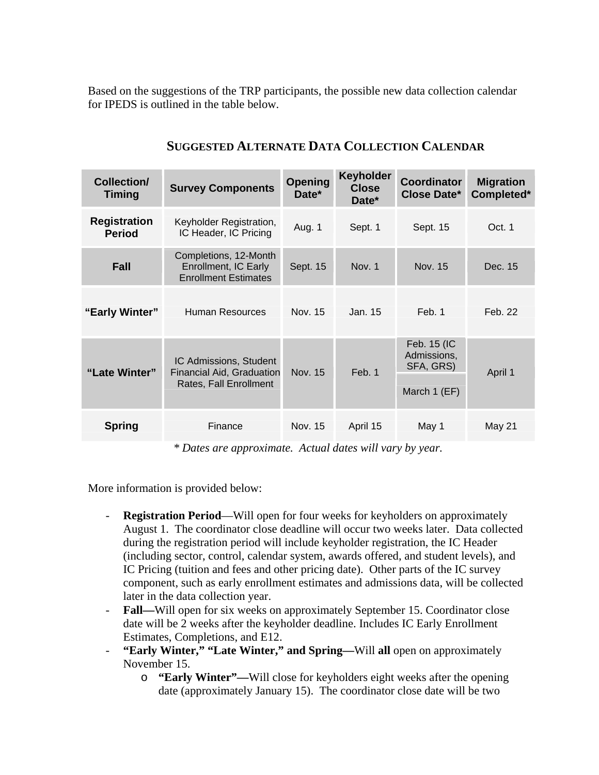Based on the suggestions of the TRP participants, the possible new data collection calendar for IPEDS is outlined in the table below.

| Collection/<br><b>Timing</b>         | <b>Survey Components</b>                                                             | Opening<br>Date* | <b>Keyholder</b><br><b>Close</b><br>Date* | <b>Coordinator</b><br><b>Close Date*</b>                | <b>Migration</b><br>Completed* |
|--------------------------------------|--------------------------------------------------------------------------------------|------------------|-------------------------------------------|---------------------------------------------------------|--------------------------------|
| <b>Registration</b><br><b>Period</b> | Keyholder Registration,<br>IC Header, IC Pricing                                     | Aug. 1           | Sept. 1                                   | Sept. 15                                                | Oct. 1                         |
| Fall                                 | Completions, 12-Month<br>Enrollment, IC Early<br><b>Enrollment Estimates</b>         | Sept. 15         | Nov. 1                                    | Nov. 15                                                 | Dec. 15                        |
| "Early Winter"                       | Human Resources                                                                      | Nov. 15          | Jan. 15                                   | Feb. 1                                                  | Feb. 22                        |
| "Late Winter"                        | IC Admissions, Student<br><b>Financial Aid, Graduation</b><br>Rates, Fall Enrollment | Nov. 15          | Feb. 1                                    | Feb. 15 (IC<br>Admissions,<br>SFA, GRS)<br>March 1 (EF) | April 1                        |
| <b>Spring</b>                        | Finance                                                                              | Nov. 15          | April 15                                  | May 1                                                   | May 21                         |

## **SUGGESTED ALTERNATE DATA COLLECTION CALENDAR**

*\* Dates are approximate. Actual dates will vary by year.*

More information is provided below:

- **Registration Period**—Will open for four weeks for keyholders on approximately August 1. The coordinator close deadline will occur two weeks later. Data collected during the registration period will include keyholder registration, the IC Header (including sector, control, calendar system, awards offered, and student levels), and IC Pricing (tuition and fees and other pricing date). Other parts of the IC survey component, such as early enrollment estimates and admissions data, will be collected later in the data collection year.
- **Fall—**Will open for six weeks on approximately September 15. Coordinator close date will be 2 weeks after the keyholder deadline. Includes IC Early Enrollment Estimates, Completions, and E12.
- "Early Winter," "Late Winter," and Spring—Will all open on approximately November 15.
	- o **"Early Winter"—**Will close for keyholders eight weeks after the opening date (approximately January 15). The coordinator close date will be two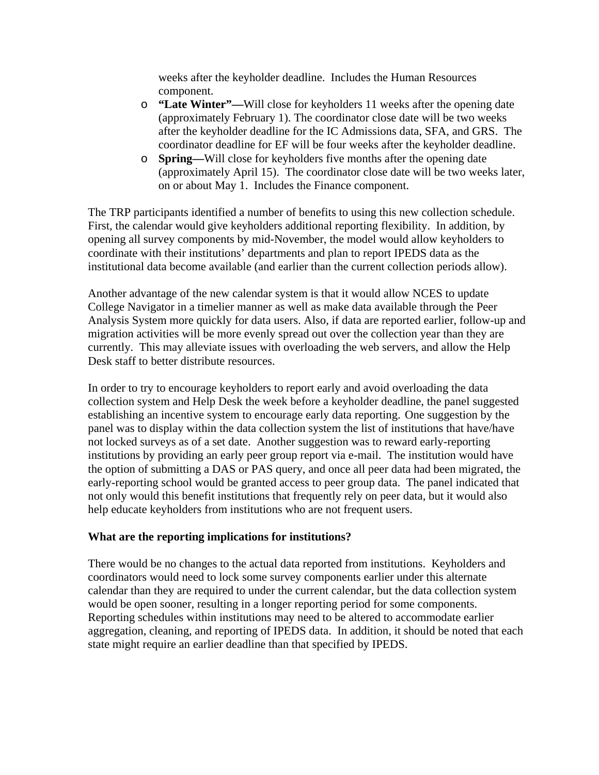weeks after the keyholder deadline. Includes the Human Resources component.

- o **"Late Winter"—**Will close for keyholders 11 weeks after the opening date (approximately February 1). The coordinator close date will be two weeks after the keyholder deadline for the IC Admissions data, SFA, and GRS. The coordinator deadline for EF will be four weeks after the keyholder deadline.
- o **Spring—**Will close for keyholders five months after the opening date (approximately April 15). The coordinator close date will be two weeks later, on or about May 1. Includes the Finance component.

The TRP participants identified a number of benefits to using this new collection schedule. First, the calendar would give keyholders additional reporting flexibility. In addition, by opening all survey components by mid-November, the model would allow keyholders to coordinate with their institutions' departments and plan to report IPEDS data as the institutional data become available (and earlier than the current collection periods allow).

Another advantage of the new calendar system is that it would allow NCES to update College Navigator in a timelier manner as well as make data available through the Peer Analysis System more quickly for data users. Also, if data are reported earlier, follow-up and migration activities will be more evenly spread out over the collection year than they are currently. This may alleviate issues with overloading the web servers, and allow the Help Desk staff to better distribute resources.

In order to try to encourage keyholders to report early and avoid overloading the data collection system and Help Desk the week before a keyholder deadline, the panel suggested establishing an incentive system to encourage early data reporting. One suggestion by the panel was to display within the data collection system the list of institutions that have/have not locked surveys as of a set date. Another suggestion was to reward early-reporting institutions by providing an early peer group report via e-mail. The institution would have the option of submitting a DAS or PAS query, and once all peer data had been migrated, the early-reporting school would be granted access to peer group data. The panel indicated that not only would this benefit institutions that frequently rely on peer data, but it would also help educate keyholders from institutions who are not frequent users.

### **What are the reporting implications for institutions?**

There would be no changes to the actual data reported from institutions. Keyholders and coordinators would need to lock some survey components earlier under this alternate calendar than they are required to under the current calendar, but the data collection system would be open sooner, resulting in a longer reporting period for some components. Reporting schedules within institutions may need to be altered to accommodate earlier aggregation, cleaning, and reporting of IPEDS data. In addition, it should be noted that each state might require an earlier deadline than that specified by IPEDS.